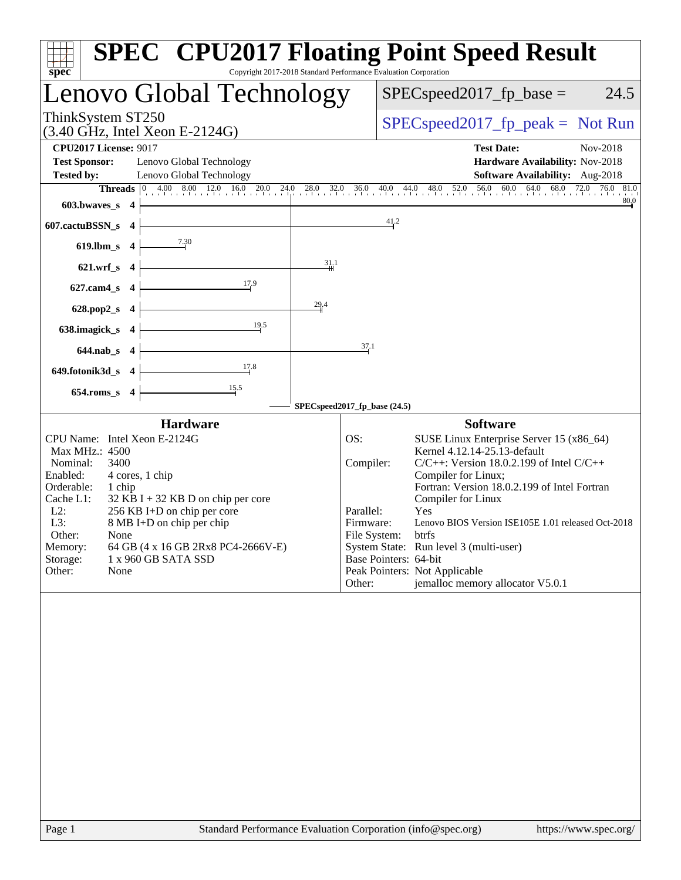| spec                                                                                                                                                                                                                                                                                                                                                                                | Copyright 2017-2018 Standard Performance Evaluation Corporation | <b>SPEC<sup>®</sup></b> CPU2017 Floating Point Speed Result                                                                                                                                                                                                                                                                                                                                                                                       |  |  |  |  |
|-------------------------------------------------------------------------------------------------------------------------------------------------------------------------------------------------------------------------------------------------------------------------------------------------------------------------------------------------------------------------------------|-----------------------------------------------------------------|---------------------------------------------------------------------------------------------------------------------------------------------------------------------------------------------------------------------------------------------------------------------------------------------------------------------------------------------------------------------------------------------------------------------------------------------------|--|--|--|--|
| Lenovo Global Technology                                                                                                                                                                                                                                                                                                                                                            |                                                                 | $SPEC speed2017_fp\_base =$<br>24.5                                                                                                                                                                                                                                                                                                                                                                                                               |  |  |  |  |
| ThinkSystem ST250<br>$(3.40 \text{ GHz}, \text{Intel Xeon E-2124G})$                                                                                                                                                                                                                                                                                                                |                                                                 | $SPEC speed2017_fp\_peak = Not Run$                                                                                                                                                                                                                                                                                                                                                                                                               |  |  |  |  |
| <b>CPU2017 License: 9017</b>                                                                                                                                                                                                                                                                                                                                                        |                                                                 | <b>Test Date:</b><br>Nov-2018                                                                                                                                                                                                                                                                                                                                                                                                                     |  |  |  |  |
| <b>Test Sponsor:</b><br>Lenovo Global Technology                                                                                                                                                                                                                                                                                                                                    |                                                                 | Hardware Availability: Nov-2018                                                                                                                                                                                                                                                                                                                                                                                                                   |  |  |  |  |
| Lenovo Global Technology<br><b>Tested by:</b>                                                                                                                                                                                                                                                                                                                                       |                                                                 | Software Availability: Aug-2018                                                                                                                                                                                                                                                                                                                                                                                                                   |  |  |  |  |
|                                                                                                                                                                                                                                                                                                                                                                                     |                                                                 | Threads 0 4.00 8.00 12.0 16.0 20.0 24.0 28.0 32.0 36.0 40.0 44.0 48.0 52.0 56.0 60.0 64.0 68.0 72.0 76.0 81.0<br>80,0                                                                                                                                                                                                                                                                                                                             |  |  |  |  |
| 603.bwaves_s $4$                                                                                                                                                                                                                                                                                                                                                                    |                                                                 |                                                                                                                                                                                                                                                                                                                                                                                                                                                   |  |  |  |  |
| <u> 1980 - Johann Barn, mars ann an t-Amhain Aonaich an t-Aonaich an t-Aonaich ann an t-Aonaich ann an t-Aonaich</u><br>$607$ .cactuBSSN_s 4                                                                                                                                                                                                                                        |                                                                 | 41.2                                                                                                                                                                                                                                                                                                                                                                                                                                              |  |  |  |  |
| 619.lbm_s $4 \overline{\smash{\big)}\xrightarrow{7.30}}$                                                                                                                                                                                                                                                                                                                            |                                                                 |                                                                                                                                                                                                                                                                                                                                                                                                                                                   |  |  |  |  |
| $621.wrf_s$ 4                                                                                                                                                                                                                                                                                                                                                                       | 31/1                                                            |                                                                                                                                                                                                                                                                                                                                                                                                                                                   |  |  |  |  |
| $\frac{17.9}{2}$<br>$627$ .cam4_s 4                                                                                                                                                                                                                                                                                                                                                 |                                                                 |                                                                                                                                                                                                                                                                                                                                                                                                                                                   |  |  |  |  |
| 628.pop2_s $4$                                                                                                                                                                                                                                                                                                                                                                      | 29.4                                                            |                                                                                                                                                                                                                                                                                                                                                                                                                                                   |  |  |  |  |
| 19.5<br>638.imagick_s $4$                                                                                                                                                                                                                                                                                                                                                           |                                                                 |                                                                                                                                                                                                                                                                                                                                                                                                                                                   |  |  |  |  |
| $644.nab_s$ 4                                                                                                                                                                                                                                                                                                                                                                       | 37.1                                                            |                                                                                                                                                                                                                                                                                                                                                                                                                                                   |  |  |  |  |
| 17.8<br>$649.$ fotonik $3d_s$ 4                                                                                                                                                                                                                                                                                                                                                     |                                                                 |                                                                                                                                                                                                                                                                                                                                                                                                                                                   |  |  |  |  |
| $654$ .roms_s 4                                                                                                                                                                                                                                                                                                                                                                     |                                                                 |                                                                                                                                                                                                                                                                                                                                                                                                                                                   |  |  |  |  |
|                                                                                                                                                                                                                                                                                                                                                                                     | SPECspeed2017_fp_base (24.5)                                    |                                                                                                                                                                                                                                                                                                                                                                                                                                                   |  |  |  |  |
| <b>Hardware</b>                                                                                                                                                                                                                                                                                                                                                                     |                                                                 | <b>Software</b>                                                                                                                                                                                                                                                                                                                                                                                                                                   |  |  |  |  |
| CPU Name: Intel Xeon E-2124G<br>Max MHz.: 4500<br>Nominal:<br>3400<br>Enabled:<br>4 cores, 1 chip<br>Orderable:<br>1 chip<br>Cache L1:<br>$32$ KB I + 32 KB D on chip per core<br>$L2$ :<br>256 KB I+D on chip per core<br>L3:<br>8 MB I+D on chip per chip<br>Other:<br>None<br>64 GB (4 x 16 GB 2Rx8 PC4-2666V-E)<br>Memory:<br>1 x 960 GB SATA SSD<br>Storage:<br>Other:<br>None | OS:<br>Compiler:<br>Parallel:<br>Firmware:<br>Other:            | SUSE Linux Enterprise Server 15 (x86_64)<br>Kernel 4.12.14-25.13-default<br>$C/C++$ : Version 18.0.2.199 of Intel $C/C++$<br>Compiler for Linux;<br>Fortran: Version 18.0.2.199 of Intel Fortran<br>Compiler for Linux<br>Yes<br>Lenovo BIOS Version ISE105E 1.01 released Oct-2018<br>File System: btrfs<br>System State: Run level 3 (multi-user)<br>Base Pointers: 64-bit<br>Peak Pointers: Not Applicable<br>jemalloc memory allocator V5.0.1 |  |  |  |  |
|                                                                                                                                                                                                                                                                                                                                                                                     |                                                                 |                                                                                                                                                                                                                                                                                                                                                                                                                                                   |  |  |  |  |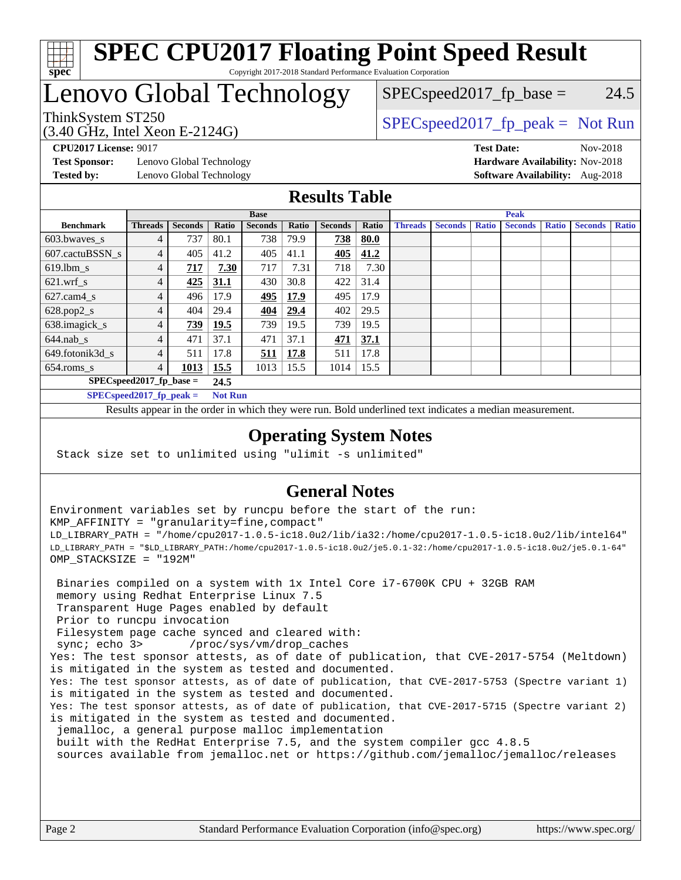

### **[SPEC CPU2017 Floating Point Speed Result](http://www.spec.org/auto/cpu2017/Docs/result-fields.html#SPECCPU2017FloatingPointSpeedResult)** Copyright 2017-2018 Standard Performance Evaluation Corporation

## Lenovo Global Technology

(3.40 GHz, Intel Xeon E-2124G)

ThinkSystem ST250  $SPEC speed2017$  [p\_peak = Not Run  $SPEC speed2017_fp\_base = 24.5$ 

**[Test Sponsor:](http://www.spec.org/auto/cpu2017/Docs/result-fields.html#TestSponsor)** Lenovo Global Technology **[Hardware Availability:](http://www.spec.org/auto/cpu2017/Docs/result-fields.html#HardwareAvailability)** Nov-2018 **[Tested by:](http://www.spec.org/auto/cpu2017/Docs/result-fields.html#Testedby)** Lenovo Global Technology **[Software Availability:](http://www.spec.org/auto/cpu2017/Docs/result-fields.html#SoftwareAvailability)** Aug-2018

**[CPU2017 License:](http://www.spec.org/auto/cpu2017/Docs/result-fields.html#CPU2017License)** 9017 **[Test Date:](http://www.spec.org/auto/cpu2017/Docs/result-fields.html#TestDate)** Nov-2018

### **[Results Table](http://www.spec.org/auto/cpu2017/Docs/result-fields.html#ResultsTable)**

|                             | <b>Base</b>                |                |                |                |             | <b>Peak</b>    |       |                |                |              |                |              |                |              |
|-----------------------------|----------------------------|----------------|----------------|----------------|-------------|----------------|-------|----------------|----------------|--------------|----------------|--------------|----------------|--------------|
| <b>Benchmark</b>            | <b>Threads</b>             | <b>Seconds</b> | Ratio          | <b>Seconds</b> | Ratio       | <b>Seconds</b> | Ratio | <b>Threads</b> | <b>Seconds</b> | <b>Ratio</b> | <b>Seconds</b> | <b>Ratio</b> | <b>Seconds</b> | <b>Ratio</b> |
| 603.bwayes s                | 4                          | 737            | 80.1           | 738            | 79.9        | 738            | 80.0  |                |                |              |                |              |                |              |
| 607.cactuBSSN s             |                            | 405            | 41.2           | 405            | 41.1        | 405            | 41.2  |                |                |              |                |              |                |              |
| $619.$ lbm s                | 4                          | 717            | 7.30           | 717            | 7.31        | 718            | 7.30  |                |                |              |                |              |                |              |
| $621.wrf$ s                 | 4                          | 425            | 31.1           | 430            | 30.8        | 422            | 31.4  |                |                |              |                |              |                |              |
| $627$ .cam $4$ <sub>s</sub> | 4                          | 496            | 17.9           | 495            | 17.9        | 495            | 17.9  |                |                |              |                |              |                |              |
| $628.pop2_s$                | 4                          | 404            | 29.4           | 404            | 29.4        | 402            | 29.5  |                |                |              |                |              |                |              |
| 638.imagick_s               | 4                          | 739            | 19.5           | 739            | 19.5        | 739            | 19.5  |                |                |              |                |              |                |              |
| $644$ .nab s                | 4                          | 471            | 37.1           | 471            | 37.1        | 471            | 37.1  |                |                |              |                |              |                |              |
| 649.fotonik3d s             | 4                          | 511            | 17.8           | <u>511</u>     | <b>17.8</b> | 511            | 17.8  |                |                |              |                |              |                |              |
| $654$ .roms s               | 4                          | 1013           | 15.5           | 1013           | 15.5        | 1014           | 15.5  |                |                |              |                |              |                |              |
|                             | $SPEC speed2017$ fp base = |                | 24.5           |                |             |                |       |                |                |              |                |              |                |              |
|                             | $SPECspeed2017_fp\_peak =$ |                | <b>Not Run</b> |                |             |                |       |                |                |              |                |              |                |              |

Results appear in the [order in which they were run.](http://www.spec.org/auto/cpu2017/Docs/result-fields.html#RunOrder) Bold underlined text [indicates a median measurement](http://www.spec.org/auto/cpu2017/Docs/result-fields.html#Median).

### **[Operating System Notes](http://www.spec.org/auto/cpu2017/Docs/result-fields.html#OperatingSystemNotes)**

Stack size set to unlimited using "ulimit -s unlimited"

## **[General Notes](http://www.spec.org/auto/cpu2017/Docs/result-fields.html#GeneralNotes)**

Environment variables set by runcpu before the start of the run: KMP\_AFFINITY = "granularity=fine,compact" LD\_LIBRARY\_PATH = "/home/cpu2017-1.0.5-ic18.0u2/lib/ia32:/home/cpu2017-1.0.5-ic18.0u2/lib/intel64" LD\_LIBRARY\_PATH = "\$LD\_LIBRARY\_PATH:/home/cpu2017-1.0.5-ic18.0u2/je5.0.1-32:/home/cpu2017-1.0.5-ic18.0u2/je5.0.1-64" OMP\_STACKSIZE = "192M"

 Binaries compiled on a system with 1x Intel Core i7-6700K CPU + 32GB RAM memory using Redhat Enterprise Linux 7.5 Transparent Huge Pages enabled by default Prior to runcpu invocation Filesystem page cache synced and cleared with: sync; echo 3> /proc/sys/vm/drop\_caches Yes: The test sponsor attests, as of date of publication, that CVE-2017-5754 (Meltdown) is mitigated in the system as tested and documented. Yes: The test sponsor attests, as of date of publication, that CVE-2017-5753 (Spectre variant 1) is mitigated in the system as tested and documented. Yes: The test sponsor attests, as of date of publication, that CVE-2017-5715 (Spectre variant 2) is mitigated in the system as tested and documented. jemalloc, a general purpose malloc implementation built with the RedHat Enterprise 7.5, and the system compiler gcc 4.8.5 sources available from jemalloc.net or <https://github.com/jemalloc/jemalloc/releases>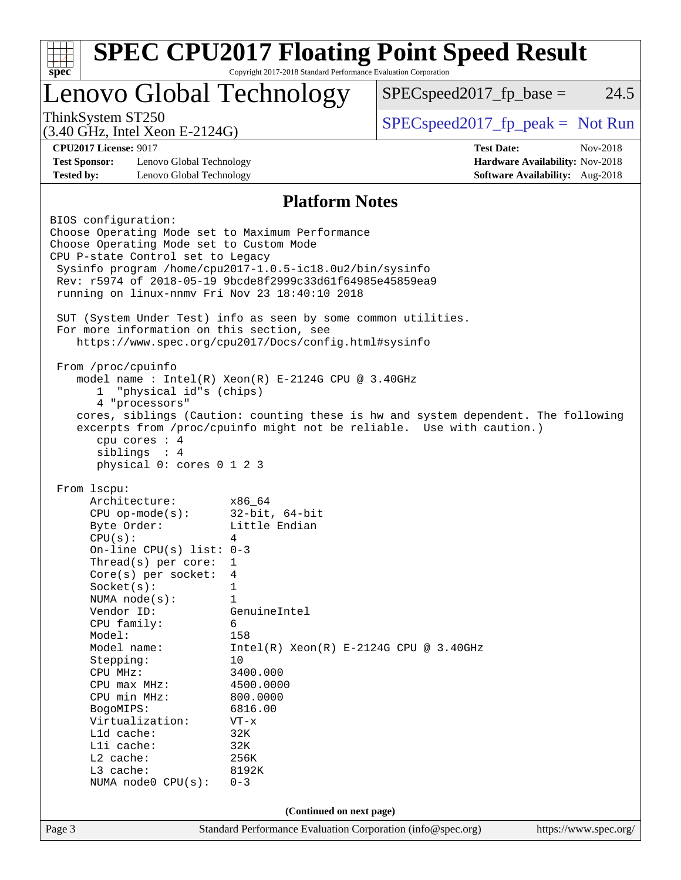| Lenovo Global Technology                                                                                                                                                                                                                                                                                                            |                                                 | $SPEC speed2017_fp\_base =$                                                                                                                                 | 24.5     |
|-------------------------------------------------------------------------------------------------------------------------------------------------------------------------------------------------------------------------------------------------------------------------------------------------------------------------------------|-------------------------------------------------|-------------------------------------------------------------------------------------------------------------------------------------------------------------|----------|
| ThinkSystem ST250<br>$(3.40 \text{ GHz}, \text{Intel Xeon E-2124G})$                                                                                                                                                                                                                                                                |                                                 | $SPEC speed2017_fp\_peak = Not Run$                                                                                                                         |          |
| <b>CPU2017 License: 9017</b>                                                                                                                                                                                                                                                                                                        |                                                 | <b>Test Date:</b>                                                                                                                                           | Nov-2018 |
| <b>Test Sponsor:</b><br>Lenovo Global Technology                                                                                                                                                                                                                                                                                    |                                                 | Hardware Availability: Nov-2018                                                                                                                             |          |
| <b>Tested by:</b><br>Lenovo Global Technology                                                                                                                                                                                                                                                                                       |                                                 | Software Availability: Aug-2018                                                                                                                             |          |
|                                                                                                                                                                                                                                                                                                                                     | <b>Platform Notes</b>                           |                                                                                                                                                             |          |
| BIOS configuration:<br>Choose Operating Mode set to Maximum Performance<br>Choose Operating Mode set to Custom Mode<br>CPU P-state Control set to Legacy<br>Sysinfo program /home/cpu2017-1.0.5-ic18.0u2/bin/sysinfo<br>Rev: r5974 of 2018-05-19 9bcde8f2999c33d61f64985e45859ea9<br>running on linux-nnmv Fri Nov 23 18:40:10 2018 |                                                 |                                                                                                                                                             |          |
| SUT (System Under Test) info as seen by some common utilities.<br>For more information on this section, see<br>https://www.spec.org/cpu2017/Docs/config.html#sysinfo                                                                                                                                                                |                                                 |                                                                                                                                                             |          |
| From /proc/cpuinfo<br>model name : Intel(R) Xeon(R) E-2124G CPU @ 3.40GHz<br>"physical id"s (chips)<br>1                                                                                                                                                                                                                            |                                                 |                                                                                                                                                             |          |
| 4 "processors"<br>cpu cores : 4<br>siblings : 4<br>physical 0: cores 0 1 2 3                                                                                                                                                                                                                                                        |                                                 | cores, siblings (Caution: counting these is hw and system dependent. The following<br>excerpts from /proc/cpuinfo might not be reliable. Use with caution.) |          |
| From 1scpu:                                                                                                                                                                                                                                                                                                                         |                                                 |                                                                                                                                                             |          |
| Architecture:                                                                                                                                                                                                                                                                                                                       | x86 64                                          |                                                                                                                                                             |          |
| $CPU$ op-mode( $s$ ):                                                                                                                                                                                                                                                                                                               | $32$ -bit, $64$ -bit                            |                                                                                                                                                             |          |
| Byte Order:                                                                                                                                                                                                                                                                                                                         | Little Endian                                   |                                                                                                                                                             |          |
| CPU(s):                                                                                                                                                                                                                                                                                                                             | 4                                               |                                                                                                                                                             |          |
| On-line CPU(s) list: $0-3$<br>Thread(s) per core:                                                                                                                                                                                                                                                                                   | 1                                               |                                                                                                                                                             |          |
| Core(s) per socket:                                                                                                                                                                                                                                                                                                                 | 4                                               |                                                                                                                                                             |          |
| Socket(s):                                                                                                                                                                                                                                                                                                                          | 1                                               |                                                                                                                                                             |          |
| NUMA $node(s)$ :                                                                                                                                                                                                                                                                                                                    | 1                                               |                                                                                                                                                             |          |
| Vendor ID:                                                                                                                                                                                                                                                                                                                          | GenuineIntel                                    |                                                                                                                                                             |          |
| CPU family:                                                                                                                                                                                                                                                                                                                         | 6                                               |                                                                                                                                                             |          |
| Model:<br>Model name:                                                                                                                                                                                                                                                                                                               | 158<br>$Intel(R) Xeon(R) E-2124G CPU @ 3.40GHz$ |                                                                                                                                                             |          |
| Stepping:                                                                                                                                                                                                                                                                                                                           | 10                                              |                                                                                                                                                             |          |
| CPU MHz:                                                                                                                                                                                                                                                                                                                            | 3400.000                                        |                                                                                                                                                             |          |
| $CPU$ max $MHz:$                                                                                                                                                                                                                                                                                                                    | 4500.0000                                       |                                                                                                                                                             |          |
| CPU min MHz:                                                                                                                                                                                                                                                                                                                        | 800.0000                                        |                                                                                                                                                             |          |
| BogoMIPS:                                                                                                                                                                                                                                                                                                                           | 6816.00                                         |                                                                                                                                                             |          |
| Virtualization:<br>Lld cache:                                                                                                                                                                                                                                                                                                       | $VT - x$<br>32K                                 |                                                                                                                                                             |          |
| Lli cache:                                                                                                                                                                                                                                                                                                                          | 32K                                             |                                                                                                                                                             |          |
| L2 cache:                                                                                                                                                                                                                                                                                                                           | 256K                                            |                                                                                                                                                             |          |
| L3 cache:<br>NUMA node0 CPU(s):                                                                                                                                                                                                                                                                                                     | 8192K<br>$0 - 3$                                |                                                                                                                                                             |          |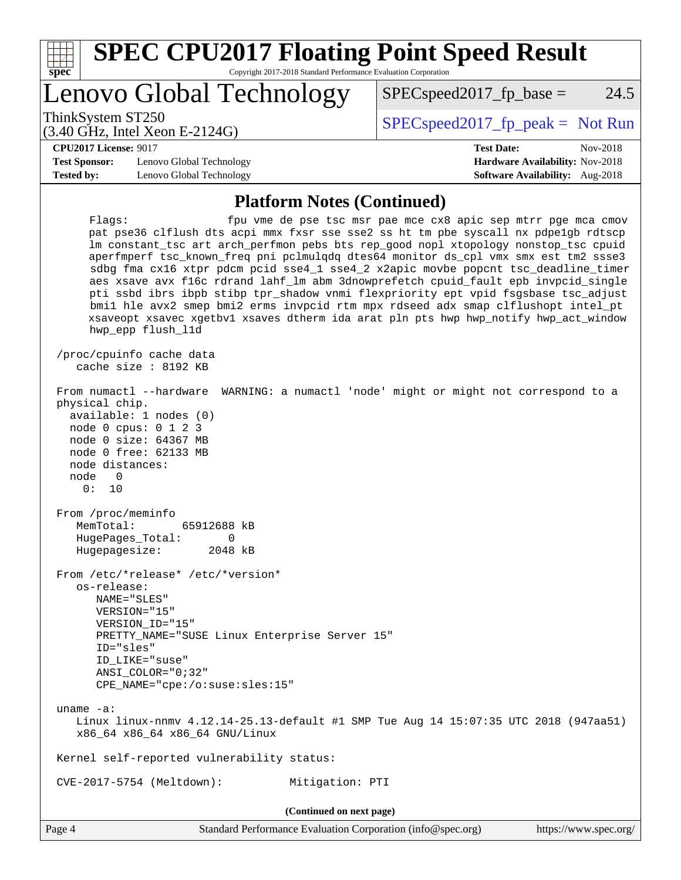

**(Continued on next page)**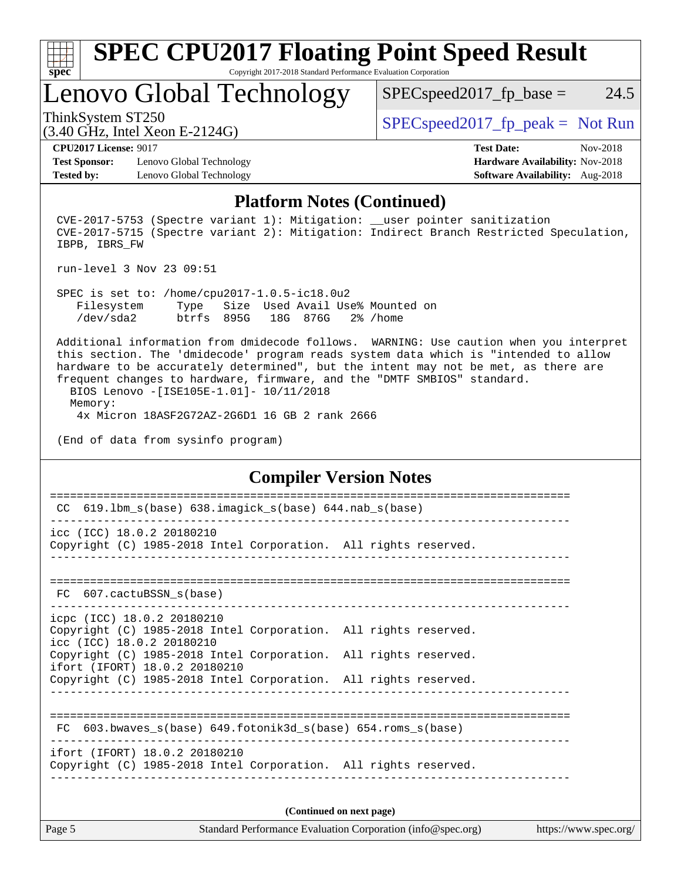

# **[SPEC CPU2017 Floating Point Speed Result](http://www.spec.org/auto/cpu2017/Docs/result-fields.html#SPECCPU2017FloatingPointSpeedResult)**

Copyright 2017-2018 Standard Performance Evaluation Corporation

## Lenovo Global Technology

ThinkSystem ST250  $SPEC speed2017$  [p\_peak = Not Run

 $SPEC speed2017_fp\_base = 24.5$ 

(3.40 GHz, Intel Xeon E-2124G)

**[Test Sponsor:](http://www.spec.org/auto/cpu2017/Docs/result-fields.html#TestSponsor)** Lenovo Global Technology **[Hardware Availability:](http://www.spec.org/auto/cpu2017/Docs/result-fields.html#HardwareAvailability)** Nov-2018 **[Tested by:](http://www.spec.org/auto/cpu2017/Docs/result-fields.html#Testedby)** Lenovo Global Technology **[Software Availability:](http://www.spec.org/auto/cpu2017/Docs/result-fields.html#SoftwareAvailability)** Aug-2018

**[CPU2017 License:](http://www.spec.org/auto/cpu2017/Docs/result-fields.html#CPU2017License)** 9017 **[Test Date:](http://www.spec.org/auto/cpu2017/Docs/result-fields.html#TestDate)** Nov-2018

#### **[Platform Notes \(Continued\)](http://www.spec.org/auto/cpu2017/Docs/result-fields.html#PlatformNotes)**

 CVE-2017-5753 (Spectre variant 1): Mitigation: \_\_user pointer sanitization CVE-2017-5715 (Spectre variant 2): Mitigation: Indirect Branch Restricted Speculation, IBPB, IBRS\_FW

run-level 3 Nov 23 09:51

 SPEC is set to: /home/cpu2017-1.0.5-ic18.0u2 Filesystem Type Size Used Avail Use% Mounted on /dev/sda2 btrfs 895G 18G 876G 2% /home

 Additional information from dmidecode follows. WARNING: Use caution when you interpret this section. The 'dmidecode' program reads system data which is "intended to allow hardware to be accurately determined", but the intent may not be met, as there are frequent changes to hardware, firmware, and the "DMTF SMBIOS" standard. BIOS Lenovo -[ISE105E-1.01]- 10/11/2018

 Memory: 4x Micron 18ASF2G72AZ-2G6D1 16 GB 2 rank 2666

(End of data from sysinfo program)

### **[Compiler Version Notes](http://www.spec.org/auto/cpu2017/Docs/result-fields.html#CompilerVersionNotes)**

| $619.1$ bm_s(base) $638.imagick_s(base)$ $644.nab_s(base)$<br>CC.                                                                                                   |
|---------------------------------------------------------------------------------------------------------------------------------------------------------------------|
| icc (ICC) 18.0.2 20180210<br>Copyright (C) 1985-2018 Intel Corporation. All rights reserved.                                                                        |
| FC 607.cactuBSSN s(base)                                                                                                                                            |
| icpc (ICC) 18.0.2 20180210<br>Copyright (C) 1985-2018 Intel Corporation. All rights reserved.<br>icc (ICC) 18.0.2 20180210                                          |
| Copyright (C) 1985-2018 Intel Corporation. All rights reserved.<br>ifort (IFORT) 18.0.2 20180210<br>Copyright (C) 1985-2018 Intel Corporation. All rights reserved. |
|                                                                                                                                                                     |
| 603.bwaves $s(base)$ 649.fotonik3d $s(base)$ 654.roms $s(base)$<br>FC.                                                                                              |
| ifort (IFORT) 18.0.2 20180210<br>Copyright (C) 1985-2018 Intel Corporation. All rights reserved.                                                                    |
| (Continued on next page)                                                                                                                                            |
|                                                                                                                                                                     |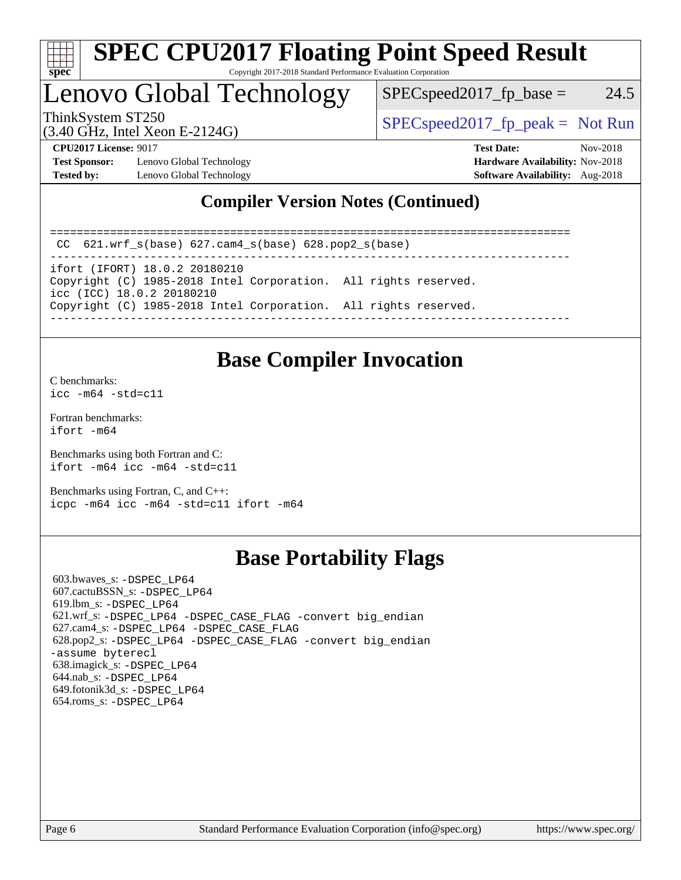

### **[SPEC CPU2017 Floating Point Speed Result](http://www.spec.org/auto/cpu2017/Docs/result-fields.html#SPECCPU2017FloatingPointSpeedResult)** Copyright 2017-2018 Standard Performance Evaluation Corporation

# Lenovo Global Technology

 $SPEC speed2017_fp\_base = 24.5$ 

(3.40 GHz, Intel Xeon E-2124G)

ThinkSystem ST250  $SPEC speed2017$  [p\_peak = Not Run

**[Test Sponsor:](http://www.spec.org/auto/cpu2017/Docs/result-fields.html#TestSponsor)** Lenovo Global Technology **[Hardware Availability:](http://www.spec.org/auto/cpu2017/Docs/result-fields.html#HardwareAvailability)** Nov-2018 **[Tested by:](http://www.spec.org/auto/cpu2017/Docs/result-fields.html#Testedby)** Lenovo Global Technology **[Software Availability:](http://www.spec.org/auto/cpu2017/Docs/result-fields.html#SoftwareAvailability)** Aug-2018

**[CPU2017 License:](http://www.spec.org/auto/cpu2017/Docs/result-fields.html#CPU2017License)** 9017 **[Test Date:](http://www.spec.org/auto/cpu2017/Docs/result-fields.html#TestDate)** Nov-2018

## **[Compiler Version Notes \(Continued\)](http://www.spec.org/auto/cpu2017/Docs/result-fields.html#CompilerVersionNotes)**

============================================================================== CC 621.wrf\_s(base) 627.cam4\_s(base) 628.pop2\_s(base) ----------------------------------------------------------------------------- ifort (IFORT) 18.0.2 20180210 Copyright (C) 1985-2018 Intel Corporation. All rights reserved. icc (ICC) 18.0.2 20180210 Copyright (C) 1985-2018 Intel Corporation. All rights reserved. ------------------------------------------------------------------------------

## **[Base Compiler Invocation](http://www.spec.org/auto/cpu2017/Docs/result-fields.html#BaseCompilerInvocation)**

[C benchmarks](http://www.spec.org/auto/cpu2017/Docs/result-fields.html#Cbenchmarks):  $icc - m64 - std = c11$ 

[Fortran benchmarks](http://www.spec.org/auto/cpu2017/Docs/result-fields.html#Fortranbenchmarks): [ifort -m64](http://www.spec.org/cpu2017/results/res2018q4/cpu2017-20181126-09896.flags.html#user_FCbase_intel_ifort_64bit_24f2bb282fbaeffd6157abe4f878425411749daecae9a33200eee2bee2fe76f3b89351d69a8130dd5949958ce389cf37ff59a95e7a40d588e8d3a57e0c3fd751)

[Benchmarks using both Fortran and C](http://www.spec.org/auto/cpu2017/Docs/result-fields.html#BenchmarksusingbothFortranandC): [ifort -m64](http://www.spec.org/cpu2017/results/res2018q4/cpu2017-20181126-09896.flags.html#user_CC_FCbase_intel_ifort_64bit_24f2bb282fbaeffd6157abe4f878425411749daecae9a33200eee2bee2fe76f3b89351d69a8130dd5949958ce389cf37ff59a95e7a40d588e8d3a57e0c3fd751) [icc -m64 -std=c11](http://www.spec.org/cpu2017/results/res2018q4/cpu2017-20181126-09896.flags.html#user_CC_FCbase_intel_icc_64bit_c11_33ee0cdaae7deeeab2a9725423ba97205ce30f63b9926c2519791662299b76a0318f32ddfffdc46587804de3178b4f9328c46fa7c2b0cd779d7a61945c91cd35)

[Benchmarks using Fortran, C, and C++:](http://www.spec.org/auto/cpu2017/Docs/result-fields.html#BenchmarksusingFortranCandCXX) [icpc -m64](http://www.spec.org/cpu2017/results/res2018q4/cpu2017-20181126-09896.flags.html#user_CC_CXX_FCbase_intel_icpc_64bit_4ecb2543ae3f1412ef961e0650ca070fec7b7afdcd6ed48761b84423119d1bf6bdf5cad15b44d48e7256388bc77273b966e5eb805aefd121eb22e9299b2ec9d9) [icc -m64 -std=c11](http://www.spec.org/cpu2017/results/res2018q4/cpu2017-20181126-09896.flags.html#user_CC_CXX_FCbase_intel_icc_64bit_c11_33ee0cdaae7deeeab2a9725423ba97205ce30f63b9926c2519791662299b76a0318f32ddfffdc46587804de3178b4f9328c46fa7c2b0cd779d7a61945c91cd35) [ifort -m64](http://www.spec.org/cpu2017/results/res2018q4/cpu2017-20181126-09896.flags.html#user_CC_CXX_FCbase_intel_ifort_64bit_24f2bb282fbaeffd6157abe4f878425411749daecae9a33200eee2bee2fe76f3b89351d69a8130dd5949958ce389cf37ff59a95e7a40d588e8d3a57e0c3fd751)

## **[Base Portability Flags](http://www.spec.org/auto/cpu2017/Docs/result-fields.html#BasePortabilityFlags)**

 603.bwaves\_s: [-DSPEC\\_LP64](http://www.spec.org/cpu2017/results/res2018q4/cpu2017-20181126-09896.flags.html#suite_basePORTABILITY603_bwaves_s_DSPEC_LP64) 607.cactuBSSN\_s: [-DSPEC\\_LP64](http://www.spec.org/cpu2017/results/res2018q4/cpu2017-20181126-09896.flags.html#suite_basePORTABILITY607_cactuBSSN_s_DSPEC_LP64) 619.lbm\_s: [-DSPEC\\_LP64](http://www.spec.org/cpu2017/results/res2018q4/cpu2017-20181126-09896.flags.html#suite_basePORTABILITY619_lbm_s_DSPEC_LP64) 621.wrf\_s: [-DSPEC\\_LP64](http://www.spec.org/cpu2017/results/res2018q4/cpu2017-20181126-09896.flags.html#suite_basePORTABILITY621_wrf_s_DSPEC_LP64) [-DSPEC\\_CASE\\_FLAG](http://www.spec.org/cpu2017/results/res2018q4/cpu2017-20181126-09896.flags.html#b621.wrf_s_baseCPORTABILITY_DSPEC_CASE_FLAG) [-convert big\\_endian](http://www.spec.org/cpu2017/results/res2018q4/cpu2017-20181126-09896.flags.html#user_baseFPORTABILITY621_wrf_s_convert_big_endian_c3194028bc08c63ac5d04de18c48ce6d347e4e562e8892b8bdbdc0214820426deb8554edfa529a3fb25a586e65a3d812c835984020483e7e73212c4d31a38223) 627.cam4\_s: [-DSPEC\\_LP64](http://www.spec.org/cpu2017/results/res2018q4/cpu2017-20181126-09896.flags.html#suite_basePORTABILITY627_cam4_s_DSPEC_LP64) [-DSPEC\\_CASE\\_FLAG](http://www.spec.org/cpu2017/results/res2018q4/cpu2017-20181126-09896.flags.html#b627.cam4_s_baseCPORTABILITY_DSPEC_CASE_FLAG) 628.pop2\_s: [-DSPEC\\_LP64](http://www.spec.org/cpu2017/results/res2018q4/cpu2017-20181126-09896.flags.html#suite_basePORTABILITY628_pop2_s_DSPEC_LP64) [-DSPEC\\_CASE\\_FLAG](http://www.spec.org/cpu2017/results/res2018q4/cpu2017-20181126-09896.flags.html#b628.pop2_s_baseCPORTABILITY_DSPEC_CASE_FLAG) [-convert big\\_endian](http://www.spec.org/cpu2017/results/res2018q4/cpu2017-20181126-09896.flags.html#user_baseFPORTABILITY628_pop2_s_convert_big_endian_c3194028bc08c63ac5d04de18c48ce6d347e4e562e8892b8bdbdc0214820426deb8554edfa529a3fb25a586e65a3d812c835984020483e7e73212c4d31a38223) [-assume byterecl](http://www.spec.org/cpu2017/results/res2018q4/cpu2017-20181126-09896.flags.html#user_baseFPORTABILITY628_pop2_s_assume_byterecl_7e47d18b9513cf18525430bbf0f2177aa9bf368bc7a059c09b2c06a34b53bd3447c950d3f8d6c70e3faf3a05c8557d66a5798b567902e8849adc142926523472) 638.imagick\_s: [-DSPEC\\_LP64](http://www.spec.org/cpu2017/results/res2018q4/cpu2017-20181126-09896.flags.html#suite_basePORTABILITY638_imagick_s_DSPEC_LP64) 644.nab\_s: [-DSPEC\\_LP64](http://www.spec.org/cpu2017/results/res2018q4/cpu2017-20181126-09896.flags.html#suite_basePORTABILITY644_nab_s_DSPEC_LP64) 649.fotonik3d\_s: [-DSPEC\\_LP64](http://www.spec.org/cpu2017/results/res2018q4/cpu2017-20181126-09896.flags.html#suite_basePORTABILITY649_fotonik3d_s_DSPEC_LP64) 654.roms\_s: [-DSPEC\\_LP64](http://www.spec.org/cpu2017/results/res2018q4/cpu2017-20181126-09896.flags.html#suite_basePORTABILITY654_roms_s_DSPEC_LP64)